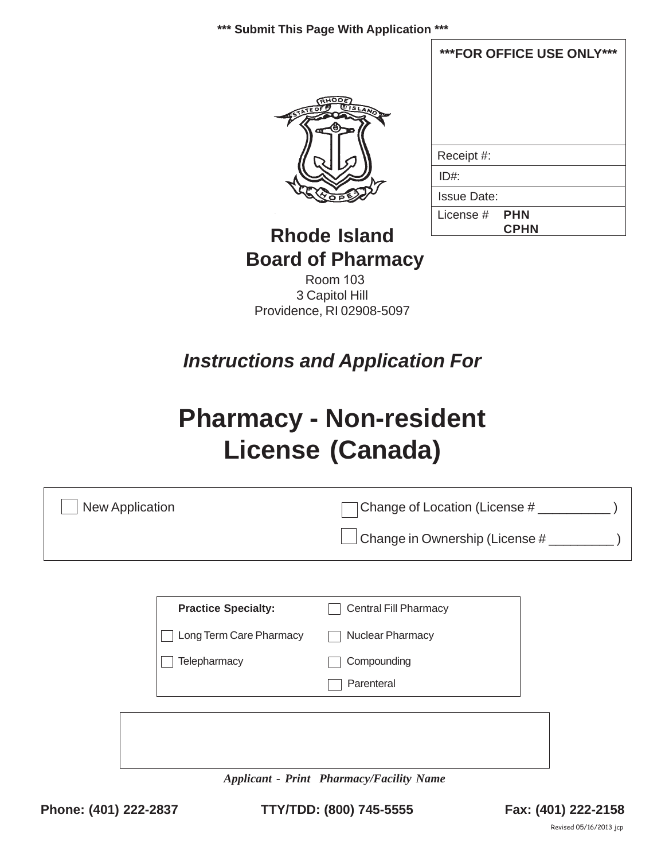**\*\*\* Submit This Page With Application \*\*\***



| ***FOR OFFICE USE ONLY*** |  |
|---------------------------|--|
|                           |  |
|                           |  |
|                           |  |
|                           |  |
| Receipt #:                |  |
| ID#                       |  |
| <b>Issue Date:</b>        |  |
| License # FHN             |  |
| <b>CPHN</b>               |  |

# **Rhode Island Board of Pharmacy**

Room 103 3 Capitol Hill Providence, RI 02908-5097

# *Instructions and Application For*

# **Pharmacy - Non-resident License (Canada)**

| <b>New Application</b>     | Change of Location (License # ________          |
|----------------------------|-------------------------------------------------|
|                            | Change in Ownership (License # _________)       |
|                            |                                                 |
| <b>Practice Specialty:</b> | <b>Central Fill Pharmacy</b>                    |
| Long Term Care Pharmacy    | Nuclear Pharmacy                                |
| Telepharmacy               | Compounding                                     |
|                            | Parenteral                                      |
|                            |                                                 |
|                            |                                                 |
|                            | <b>Applicant - Print Pharmacy/Facility Name</b> |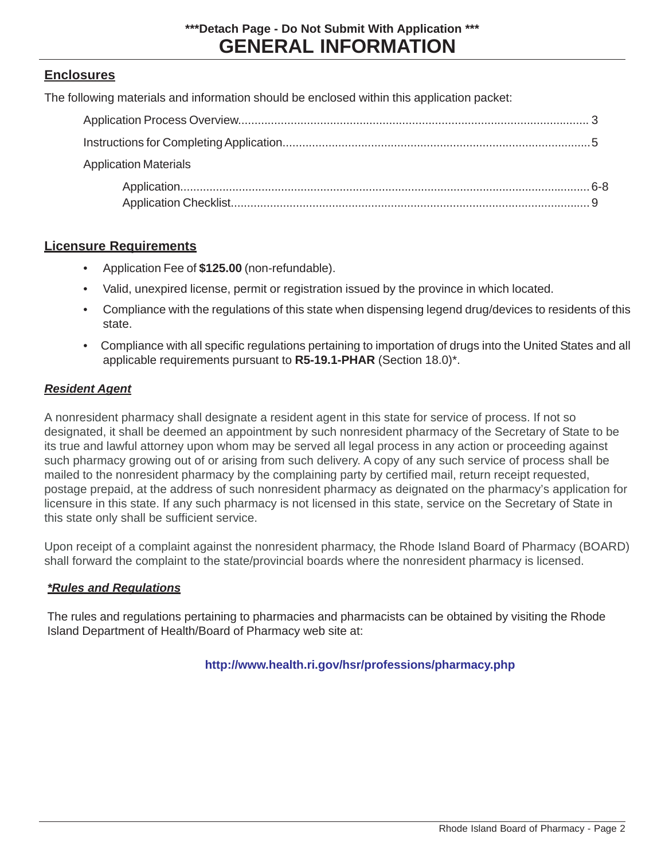#### **Enclosures**

The following materials and information should be enclosed within this application packet:

| <b>Application Materials</b> |  |
|------------------------------|--|
|                              |  |

#### **Licensure Requirements**

- Application Fee of **\$125.00** (non-refundable).
- Valid, unexpired license, permit or registration issued by the province in which located.
- Compliance with the regulations of this state when dispensing legend drug/devices to residents of this state.
- Compliance with all specific regulations pertaining to importation of drugs into the United States and all applicable requirements pursuant to **R5-19.1-PHAR** (Section 18.0)\*.

#### *Resident Agent*

A nonresident pharmacy shall designate a resident agent in this state for service of process. If not so designated, it shall be deemed an appointment by such nonresident pharmacy of the Secretary of State to be its true and lawful attorney upon whom may be served all legal process in any action or proceeding against such pharmacy growing out of or arising from such delivery. A copy of any such service of process shall be mailed to the nonresident pharmacy by the complaining party by certified mail, return receipt requested, postage prepaid, at the address of such nonresident pharmacy as deignated on the pharmacy's application for licensure in this state. If any such pharmacy is not licensed in this state, service on the Secretary of State in this state only shall be sufficient service.

Upon receipt of a complaint against the nonresident pharmacy, the Rhode Island Board of Pharmacy (BOARD) shall forward the complaint to the state/provincial boards where the nonresident pharmacy is licensed.

#### *\*Rules and Regulations*

The rules and regulations pertaining to pharmacies and pharmacists can be obtained by visiting the Rhode Island Department of Health/Board of Pharmacy web site at:

#### **<http://www.health.ri.gov/hsr/professions/pharmacy.php>**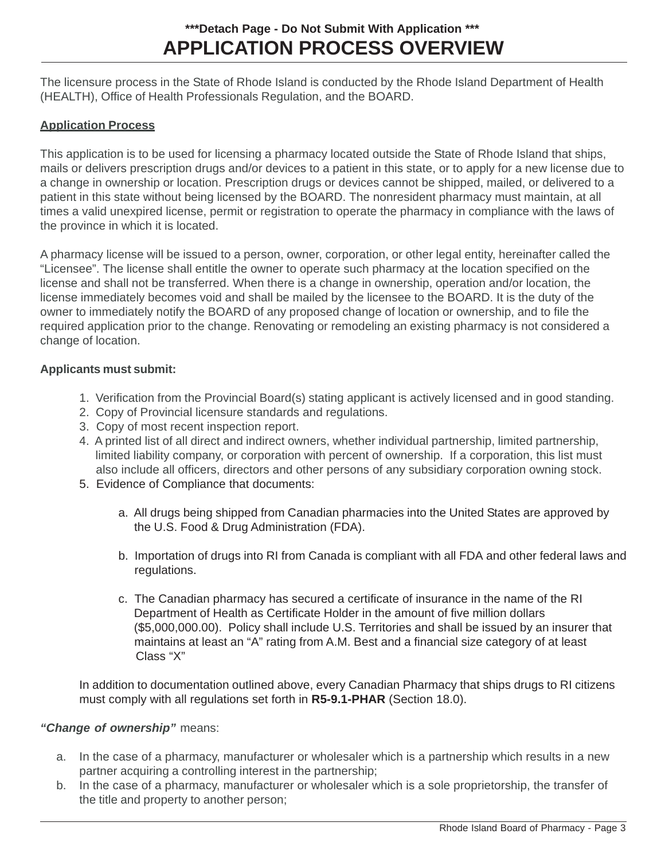## **APPLICATION PROCESS OVERVIEW \*\*\*Detach Page - Do Not Submit With Application \*\*\***

The licensure process in the State of Rhode Island is conducted by the Rhode Island Department of Health (HEALTH), Office of Health Professionals Regulation, and the BOARD.

#### **Application Process**

This application is to be used for licensing a pharmacy located outside the State of Rhode Island that ships, mails or delivers prescription drugs and/or devices to a patient in this state, or to apply for a new license due to a change in ownership or location. Prescription drugs or devices cannot be shipped, mailed, or delivered to a patient in this state without being licensed by the BOARD. The nonresident pharmacy must maintain, at all times a valid unexpired license, permit or registration to operate the pharmacy in compliance with the laws of the province in which it is located.

A pharmacy license will be issued to a person, owner, corporation, or other legal entity, hereinafter called the "Licensee". The license shall entitle the owner to operate such pharmacy at the location specified on the license and shall not be transferred. When there is a change in ownership, operation and/or location, the license immediately becomes void and shall be mailed by the licensee to the BOARD. It is the duty of the owner to immediately notify the BOARD of any proposed change of location or ownership, and to file the required application prior to the change. Renovating or remodeling an existing pharmacy is not considered a change of location.

#### **Applicants must submit:**

- 1. Verification from the Provincial Board(s) stating applicant is actively licensed and in good standing.
- 2. Copy of Provincial licensure standards and regulations.
- 3. Copy of most recent inspection report.
- 4. A printed list of all direct and indirect owners, whether individual partnership, limited partnership, limited liability company, or corporation with percent of ownership. If a corporation, this list must also include all officers, directors and other persons of any subsidiary corporation owning stock.
- 5. Evidence of Compliance that documents:
	- a. All drugs being shipped from Canadian pharmacies into the United States are approved by the U.S. Food & Drug Administration (FDA).
	- b. Importation of drugs into RI from Canada is compliant with all FDA and other federal laws and regulations.
	- c. The Canadian pharmacy has secured a certificate of insurance in the name of the RI Department of Health as Certificate Holder in the amount of five million dollars (\$5,000,000.00). Policy shall include U.S. Territories and shall be issued by an insurer that maintains at least an "A" rating from A.M. Best and a financial size category of at least Class "X"

In addition to documentation outlined above, every Canadian Pharmacy that ships drugs to RI citizens must comply with all regulations set forth in **R5-9.1-PHAR** (Section 18.0).

#### *"Change of ownership"* means:

- a. In the case of a pharmacy, manufacturer or wholesaler which is a partnership which results in a new partner acquiring a controlling interest in the partnership;
- b. In the case of a pharmacy, manufacturer or wholesaler which is a sole proprietorship, the transfer of the title and property to another person;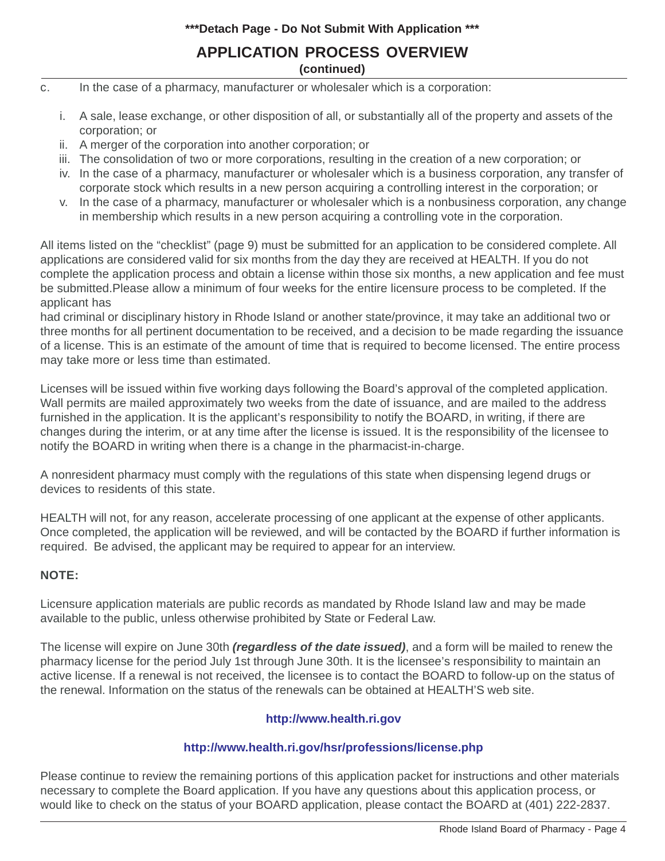#### **\*\*\*Detach Page - Do Not Submit With Application \*\*\***

#### **APPLICATION PROCESS OVERVIEW (continued)**

- c. In the case of a pharmacy, manufacturer or wholesaler which is a corporation:
	- i. A sale, lease exchange, or other disposition of all, or substantially all of the property and assets of the corporation; or
	- ii. A merger of the corporation into another corporation; or
	- iii. The consolidation of two or more corporations, resulting in the creation of a new corporation; or
	- iv. In the case of a pharmacy, manufacturer or wholesaler which is a business corporation, any transfer of corporate stock which results in a new person acquiring a controlling interest in the corporation; or
	- v. In the case of a pharmacy, manufacturer or wholesaler which is a nonbusiness corporation, any change in membership which results in a new person acquiring a controlling vote in the corporation.

All items listed on the "checklist" (page 9) must be submitted for an application to be considered complete. All applications are considered valid for six months from the day they are received at HEALTH. If you do not complete the application process and obtain a license within those six months, a new application and fee must be submitted.Please allow a minimum of four weeks for the entire licensure process to be completed. If the applicant has

had criminal or disciplinary history in Rhode Island or another state/province, it may take an additional two or three months for all pertinent documentation to be received, and a decision to be made regarding the issuance of a license. This is an estimate of the amount of time that is required to become licensed. The entire process may take more or less time than estimated.

Licenses will be issued within five working days following the Board's approval of the completed application. Wall permits are mailed approximately two weeks from the date of issuance, and are mailed to the address furnished in the application. It is the applicant's responsibility to notify the BOARD, in writing, if there are changes during the interim, or at any time after the license is issued. It is the responsibility of the licensee to notify the BOARD in writing when there is a change in the pharmacist-in-charge.

A nonresident pharmacy must comply with the regulations of this state when dispensing legend drugs or devices to residents of this state.

HEALTH will not, for any reason, accelerate processing of one applicant at the expense of other applicants. Once completed, the application will be reviewed, and will be contacted by the BOARD if further information is required. Be advised, the applicant may be required to appear for an interview.

#### **NOTE:**

Licensure application materials are public records as mandated by Rhode Island law and may be made available to the public, unless otherwise prohibited by State or Federal Law.

The license will expire on June 30th *(regardless of the date issued)*, and a form will be mailed to renew the pharmacy license for the period July 1st through June 30th. It is the licensee's responsibility to maintain an active license. If a renewal is not received, the licensee is to contact the BOARD to follow-up on the status of the renewal. Information on the status of the renewals can be obtained at HEALTH'S web site.

#### **<http://www.health.ri.gov>**

#### **<http://www.health.ri.gov/hsr/professions/license.php>**

Please continue to review the remaining portions of this application packet for instructions and other materials necessary to complete the Board application. If you have any questions about this application process, or would like to check on the status of your BOARD application, please contact the BOARD at (401) 222-2837.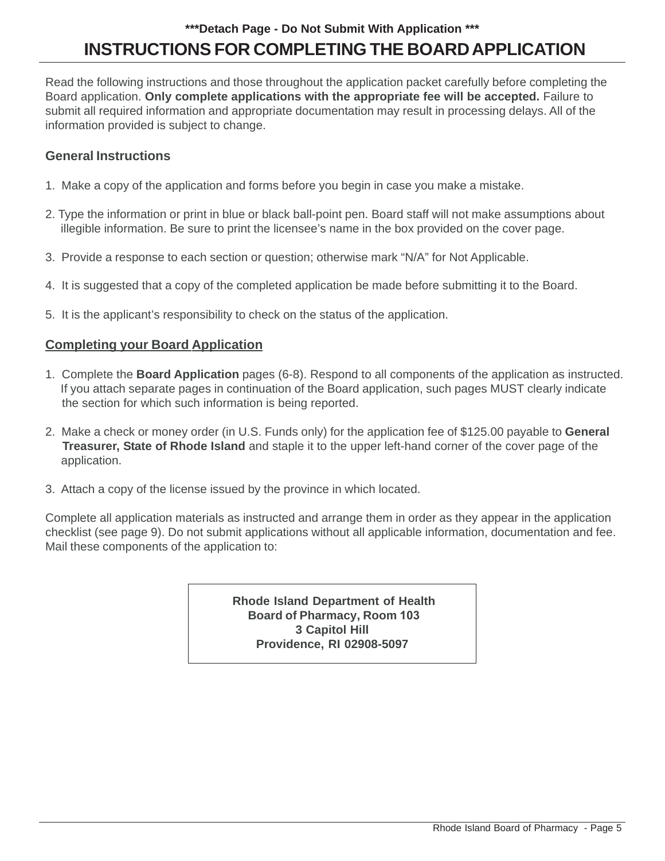# **INSTRUCTIONS FOR COMPLETING THE BOARD APPLICATION \*\*\*Detach Page - Do Not Submit With Application \*\*\***

Read the following instructions and those throughout the application packet carefully before completing the Board application. **Only complete applications with the appropriate fee will be accepted.** Failure to submit all required information and appropriate documentation may result in processing delays. All of the information provided is subject to change.

#### **General Instructions**

- 1. Make a copy of the application and forms before you begin in case you make a mistake.
- 2. Type the information or print in blue or black ball-point pen. Board staff will not make assumptions about illegible information. Be sure to print the licensee's name in the box provided on the cover page.
- 3. Provide a response to each section or question; otherwise mark "N/A" for Not Applicable.
- 4. It is suggested that a copy of the completed application be made before submitting it to the Board.
- 5. It is the applicant's responsibility to check on the status of the application.

#### **Completing your Board Application**

- 1. Complete the **Board Application** pages (6-8). Respond to all components of the application as instructed. If you attach separate pages in continuation of the Board application, such pages MUST clearly indicate the section for which such information is being reported.
- 2. Make a check or money order (in U.S. Funds only) for the application fee of \$125.00 payable to **General Treasurer, State of Rhode Island** and staple it to the upper left-hand corner of the cover page of the application.
- 3. Attach a copy of the license issued by the province in which located.

Complete all application materials as instructed and arrange them in order as they appear in the application checklist (see page 9). Do not submit applications without all applicable information, documentation and fee. Mail these components of the application to:

> **Rhode Island Department of Health Board of Pharmacy, Room 103 3 Capitol Hill Providence, RI 02908-5097**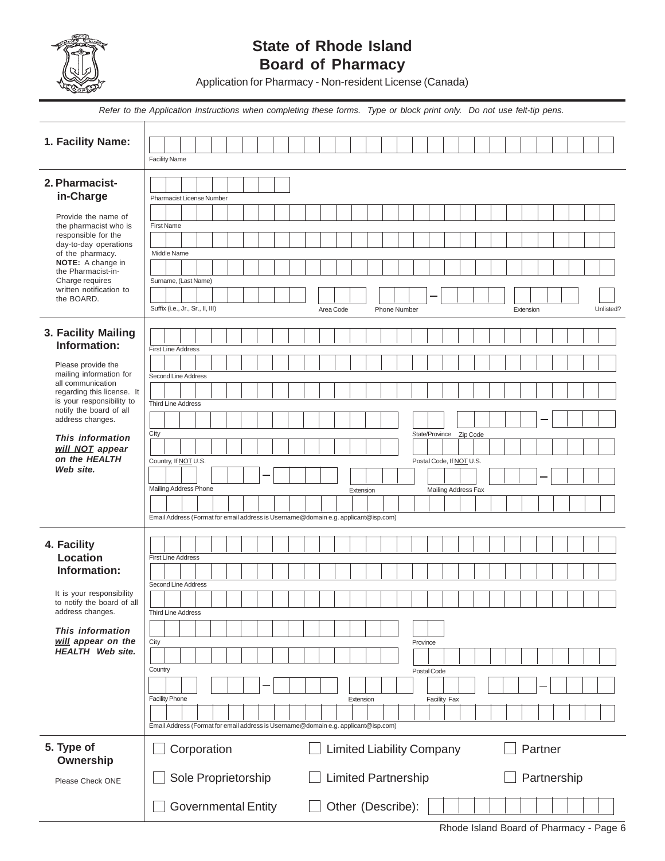

## **State of Rhode Island Board of Pharmacy**

Application for Pharmacy - Non-resident License (Canada)

|                                                                                    | Refer to the Application Instructions when completing these forms. Type or block print only. Do not use felt-tip pens. |  |
|------------------------------------------------------------------------------------|------------------------------------------------------------------------------------------------------------------------|--|
| 1. Facility Name:                                                                  |                                                                                                                        |  |
|                                                                                    | <b>Facility Name</b>                                                                                                   |  |
| 2. Pharmacist-                                                                     |                                                                                                                        |  |
| in-Charge                                                                          | Pharmacist License Number                                                                                              |  |
| Provide the name of<br>the pharmacist who is                                       | <b>First Name</b>                                                                                                      |  |
| responsible for the<br>day-to-day operations                                       | Middle Name                                                                                                            |  |
| of the pharmacy.<br><b>NOTE:</b> A change in<br>the Pharmacist-in-                 |                                                                                                                        |  |
| Charge requires<br>written notification to                                         | Surname, (Last Name)                                                                                                   |  |
| the BOARD.                                                                         | Suffix (i.e., Jr., Sr., II, III)<br>Area Code<br><b>Phone Number</b><br>Unlisted?<br>Extension                         |  |
|                                                                                    |                                                                                                                        |  |
| 3. Facility Mailing<br>Information:                                                | <b>First Line Address</b>                                                                                              |  |
| Please provide the                                                                 |                                                                                                                        |  |
| mailing information for<br>all communication                                       | Second Line Address                                                                                                    |  |
| regarding this license. It<br>is your responsibility to<br>notify the board of all | <b>Third Line Address</b>                                                                                              |  |
| address changes.                                                                   |                                                                                                                        |  |
| This information<br>will NOT appear                                                | City<br>State/Province<br>Zip Code                                                                                     |  |
| on the HEALTH                                                                      | Country, If NOT U.S.<br>Postal Code, If NOT U.S.                                                                       |  |
| Web site.                                                                          |                                                                                                                        |  |
|                                                                                    | Mailing Address Phone<br>Extension<br>Mailing Address Fax                                                              |  |
|                                                                                    | Email Address (Format for email address is Username@domain e.g. applicant@isp.com)                                     |  |
| 4. Facility                                                                        |                                                                                                                        |  |
| Location<br>Information:                                                           | <b>First Line Address</b>                                                                                              |  |
|                                                                                    | Second Line Address                                                                                                    |  |
| It is your responsibility<br>to notify the board of all                            |                                                                                                                        |  |
| address changes.<br>This information                                               | <b>Third Line Address</b>                                                                                              |  |
| will appear on the<br><b>HEALTH</b> Web site.                                      | City<br>Province                                                                                                       |  |
|                                                                                    | Country<br>Postal Code                                                                                                 |  |
|                                                                                    |                                                                                                                        |  |
|                                                                                    | <b>Facility Phone</b><br><b>Facility Fax</b><br>Extension                                                              |  |
|                                                                                    | Email Address (Format for email address is Username@domain e.g. applicant@isp.com)                                     |  |
| 5. Type of<br>Ownership                                                            | <b>Limited Liability Company</b><br>Corporation<br>Partner                                                             |  |
| Please Check ONE                                                                   | Sole Proprietorship<br><b>Limited Partnership</b><br>Partnership                                                       |  |
|                                                                                    | <b>Governmental Entity</b><br>Other (Describe):                                                                        |  |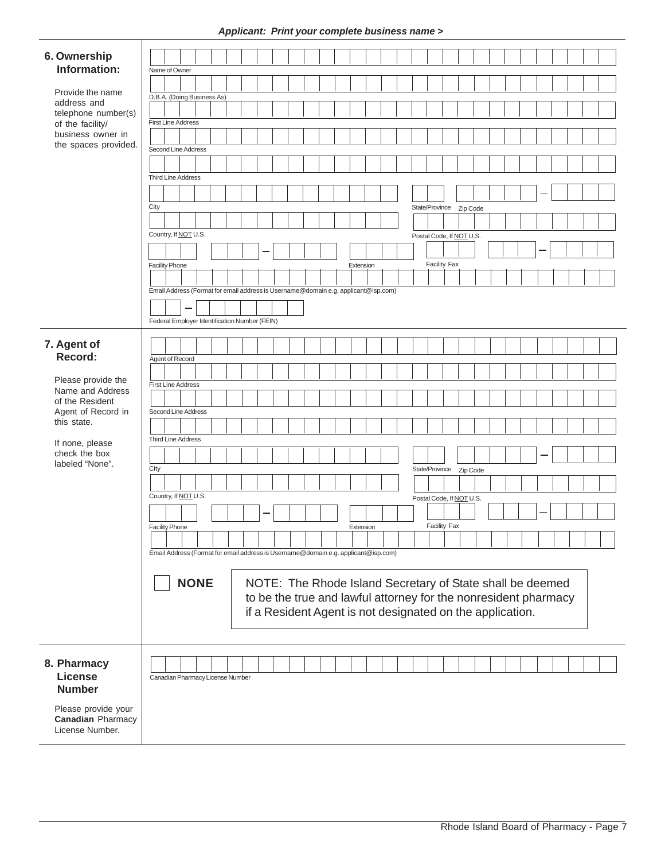#### *Applicant: Print your complete business name >*

|                                         | . .                                                                                |
|-----------------------------------------|------------------------------------------------------------------------------------|
|                                         |                                                                                    |
| 6. Ownership                            |                                                                                    |
| Information:                            | Name of Owner                                                                      |
|                                         |                                                                                    |
| Provide the name                        | D.B.A. (Doing Business As)                                                         |
| address and                             |                                                                                    |
| telephone number(s)<br>of the facility/ | <b>First Line Address</b>                                                          |
| business owner in                       |                                                                                    |
| the spaces provided.                    |                                                                                    |
|                                         | Second Line Address                                                                |
|                                         |                                                                                    |
|                                         | <b>Third Line Address</b>                                                          |
|                                         |                                                                                    |
|                                         |                                                                                    |
|                                         | City<br>State/Province Zip Code                                                    |
|                                         |                                                                                    |
|                                         | Country, If NOT U.S.<br>Postal Code, If NOT U.S.                                   |
|                                         |                                                                                    |
|                                         |                                                                                    |
|                                         | Facility Fax<br><b>Facility Phone</b><br>Extension                                 |
|                                         |                                                                                    |
|                                         | Email Address (Format for email address is Username@domain e.g. applicant@isp.com) |
|                                         |                                                                                    |
|                                         |                                                                                    |
|                                         | Federal Employer Identification Number (FEIN)                                      |
|                                         |                                                                                    |
| 7. Agent of                             |                                                                                    |
| Record:                                 | Agent of Record                                                                    |
|                                         |                                                                                    |
| Please provide the                      | <b>First Line Address</b>                                                          |
| Name and Address                        |                                                                                    |
| of the Resident                         | Second Line Address                                                                |
| Agent of Record in<br>this state.       |                                                                                    |
|                                         |                                                                                    |
| If none, please                         | Third Line Address                                                                 |
| check the box                           |                                                                                    |
| labeled "None".                         | City                                                                               |
|                                         | State/Province Zip Code                                                            |
|                                         |                                                                                    |
|                                         | Country, If NOT U.S.<br>Postal Code, If NOT U.S.                                   |
|                                         |                                                                                    |
|                                         | <b>Facility Fax</b>                                                                |
|                                         | <b>Facility Phone</b><br>Extension                                                 |
|                                         |                                                                                    |
|                                         | Email Address (Format for email address is Username@domain e.g. applicant@isp.com) |
|                                         |                                                                                    |
|                                         | <b>NONE</b><br>NOTE: The Rhode Island Secretary of State shall be deemed           |
|                                         | to be the true and lawful attorney for the nonresident pharmacy                    |
|                                         |                                                                                    |
|                                         | if a Resident Agent is not designated on the application.                          |
|                                         |                                                                                    |
|                                         |                                                                                    |
|                                         |                                                                                    |
| 8. Pharmacy                             |                                                                                    |
| <b>License</b>                          | Canadian Pharmacy License Number                                                   |
| <b>Number</b>                           |                                                                                    |
|                                         |                                                                                    |
| Please provide your                     |                                                                                    |
| <b>Canadian Pharmacy</b>                |                                                                                    |
| License Number.                         |                                                                                    |
|                                         |                                                                                    |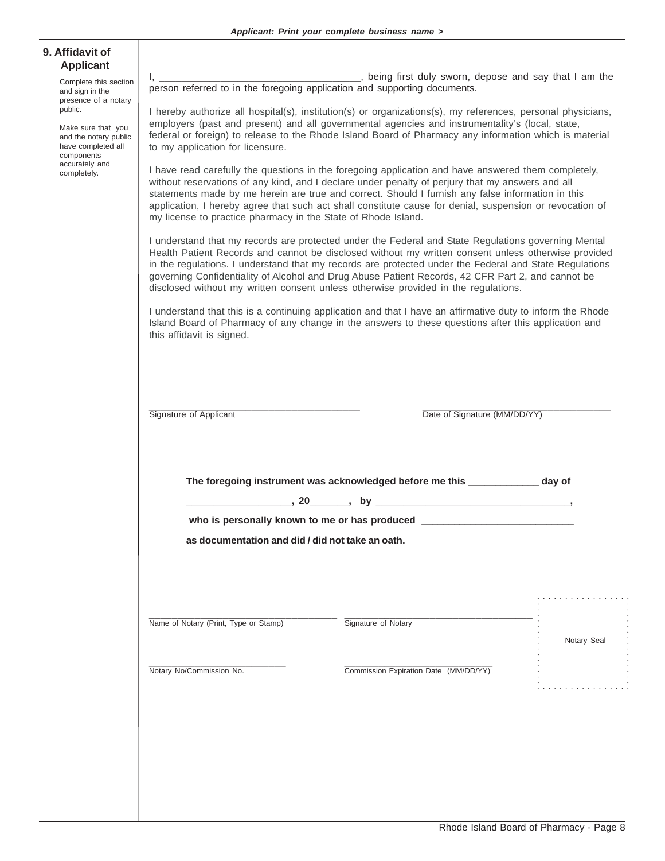| 9. Affidavit of  |  |
|------------------|--|
| <b>Applicant</b> |  |

Complete this section and sign in the presence of a notary public.

Make sure that you and the notary public have completed all components accurately and completely.

I, \_\_\_\_\_\_\_\_\_\_\_\_\_\_\_\_\_\_\_\_\_\_\_\_\_\_\_\_\_\_\_\_\_\_\_\_, being first duly sworn, depose and say that I am the person referred to in the foregoing application and supporting documents.

I hereby authorize all hospital(s), institution(s) or organizations(s), my references, personal physicians, employers (past and present) and all governmental agencies and instrumentality's (local, state, federal or foreign) to release to the Rhode Island Board of Pharmacy any information which is material to my application for licensure.

I have read carefully the questions in the foregoing application and have answered them completely, without reservations of any kind, and I declare under penalty of perjury that my answers and all statements made by me herein are true and correct. Should I furnish any false information in this application, I hereby agree that such act shall constitute cause for denial, suspension or revocation of my license to practice pharmacy in the State of Rhode Island.

I understand that my records are protected under the Federal and State Regulations governing Mental Health Patient Records and cannot be disclosed without my written consent unless otherwise provided in the regulations. I understand that my records are protected under the Federal and State Regulations governing Confidentiality of Alcohol and Drug Abuse Patient Records, 42 CFR Part 2, and cannot be disclosed without my written consent unless otherwise provided in the regulations.

I understand that this is a continuing application and that I have an affirmative duty to inform the Rhode Island Board of Pharmacy of any change in the answers to these questions after this application and this affidavit is signed.

\_\_\_\_\_\_\_\_\_\_\_\_\_\_\_\_\_\_\_\_\_\_\_\_\_\_\_\_\_\_\_\_\_\_\_\_\_ \_\_\_\_\_\_\_\_\_\_\_\_\_\_\_\_\_\_\_\_\_\_\_\_\_\_\_\_\_\_\_\_\_ Signature of Applicant **Date of Signature (MM/DD/YY)** 

**The foregoing instrument was acknowledged before me this \_\_\_\_\_\_\_\_\_\_\_\_\_ day of**

**\_\_\_\_\_\_\_\_\_\_\_\_\_\_\_\_\_\_\_, 20\_\_\_\_\_\_\_, by \_\_\_\_\_\_\_\_\_\_\_\_\_\_\_\_\_\_\_\_\_\_\_\_\_\_\_\_\_\_\_\_\_\_\_,**

who is personally known to me or has produced \_\_\_\_\_\_\_\_\_\_\_\_\_\_\_\_\_\_\_\_\_\_\_\_\_\_\_\_\_\_\_\_\_\_\_

**as documentation and did / did not take an oath.**

| Name of Notary (Print, Type or Stamp) | Signature of Notary                   |             |  |
|---------------------------------------|---------------------------------------|-------------|--|
|                                       |                                       |             |  |
|                                       |                                       | Notary Seal |  |
|                                       |                                       |             |  |
|                                       |                                       |             |  |
|                                       |                                       |             |  |
| Notary No/Commission No.              | Commission Expiration Date (MM/DD/YY) |             |  |
|                                       |                                       |             |  |
|                                       |                                       |             |  |

. . . . . . . . . . . . . . . . .